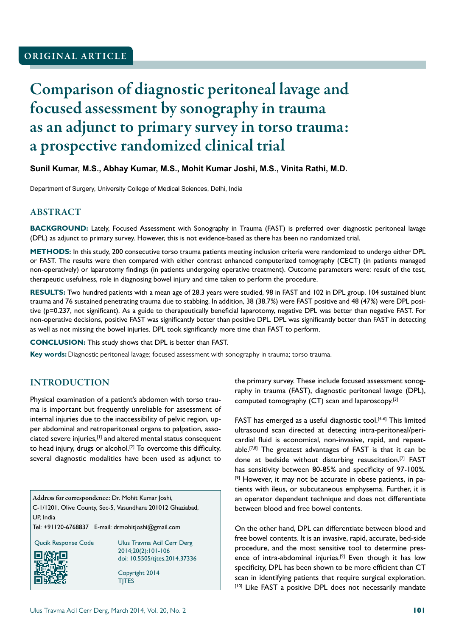# Comparison of diagnostic peritoneal lavage and focused assessment by sonography in trauma as an adjunct to primary survey in torso trauma: a prospective randomized clinical trial

#### **Sunil Kumar, M.S., Abhay Kumar, M.S., Mohit Kumar Joshi, M.S., Vinita Rathi, M.D.**

Department of Surgery, University College of Medical Sciences, Delhi, India

## ABSTRACT

**BACKGROUND:** Lately, Focused Assessment with Sonography in Trauma (FAST) is preferred over diagnostic peritoneal lavage (DPL) as adjunct to primary survey. However, this is not evidence-based as there has been no randomized trial.

**METHODS:** In this study, 200 consecutive torso trauma patients meeting inclusion criteria were randomized to undergo either DPL or FAST. The results were then compared with either contrast enhanced computerized tomography (CECT) (in patients managed non-operatively) or laparotomy findings (in patients undergoing operative treatment). Outcome parameters were: result of the test, therapeutic usefulness, role in diagnosing bowel injury and time taken to perform the procedure.

**RESULTS:** Two hundred patients with a mean age of 28.3 years were studied, 98 in FAST and 102 in DPL group. 104 sustained blunt trauma and 76 sustained penetrating trauma due to stabbing. In addition, 38 (38.7%) were FAST positive and 48 (47%) were DPL positive (p=0.237, not significant). As a guide to therapeutically beneficial laparotomy, negative DPL was better than negative FAST. For non-operative decisions, positive FAST was significantly better than positive DPL. DPL was significantly better than FAST in detecting as well as not missing the bowel injuries. DPL took significantly more time than FAST to perform.

**CONCLUSION:** This study shows that DPL is better than FAST.

**Key words:** Diagnostic peritoneal lavage; focused assessment with sonography in trauma; torso trauma.

## INTRODUCTION

Physical examination of a patient's abdomen with torso trauma is important but frequently unreliable for assessment of internal injuries due to the inaccessibility of pelvic region, upper abdominal and retroperitoneal organs to palpation, associated severe injuries,[1] and altered mental status consequent to head injury, drugs or alcohol.<sup>[2]</sup> To overcome this difficulty, several diagnostic modalities have been used as adjunct to

Address for correspondence: Dr. Mohit Kumar Joshi, C-1/1201, Olive County, Sec-5, Vasundhara 201012 Ghaziabad, UP, India

Tel: +91120-6768837 E-mail: drmohitjoshi@gmail.com



Qucik Response Code Ulus Travma Acil Cerr Derg 2014;20(2):101-106 doi: 10.5505/tjtes.2014.37336

> Copyright 2014 TJTES

the primary survey. These include focused assessment sonography in trauma (FAST), diagnostic peritoneal lavage (DPL), computed tomography (CT) scan and laparoscopy.[3]

FAST has emerged as a useful diagnostic tool.<sup>[4-6]</sup> This limited ultrasound scan directed at detecting intra-peritoneal/pericardial fluid is economical, non-invasive, rapid, and repeatable.<sup>[7,8]</sup> The greatest advantages of FAST is that it can be done at bedside without disturbing resuscitation.[7] FAST has sensitivity between 80-85% and specificity of 97-100%. [9] However, it may not be accurate in obese patients, in patients with ileus, or subcutaneous emphysema. Further, it is an operator dependent technique and does not differentiate between blood and free bowel contents.

On the other hand, DPL can differentiate between blood and free bowel contents. It is an invasive, rapid, accurate, bed-side procedure, and the most sensitive tool to determine presence of intra-abdominal injuries.<sup>[9]</sup> Even though it has low specificity, DPL has been shown to be more efficient than CT scan in identifying patients that require surgical exploration. [10] Like FAST a positive DPL does not necessarily mandate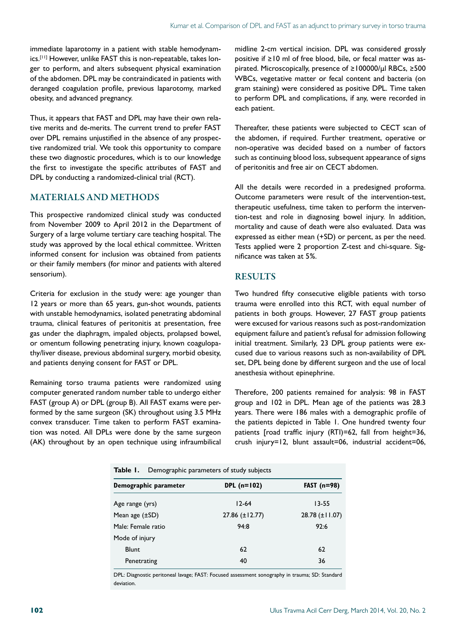immediate laparotomy in a patient with stable hemodynamics.[11] However, unlike FAST this is non-repeatable, takes longer to perform, and alters subsequent physical examination of the abdomen. DPL may be contraindicated in patients with deranged coagulation profile, previous laparotomy, marked obesity, and advanced pregnancy.

Thus, it appears that FAST and DPL may have their own relative merits and de-merits. The current trend to prefer FAST over DPL remains unjustified in the absence of any prospective randomized trial. We took this opportunity to compare these two diagnostic procedures, which is to our knowledge the first to investigate the specific attributes of FAST and DPL by conducting a randomized-clinical trial (RCT).

#### MATERIALS AND METHODS

This prospective randomized clinical study was conducted from November 2009 to April 2012 in the Department of Surgery of a large volume tertiary care teaching hospital. The study was approved by the local ethical committee. Written informed consent for inclusion was obtained from patients or their family members (for minor and patients with altered sensorium).

Criteria for exclusion in the study were: age younger than 12 years or more than 65 years, gun-shot wounds, patients with unstable hemodynamics, isolated penetrating abdominal trauma, clinical features of peritonitis at presentation, free gas under the diaphragm, impaled objects, prolapsed bowel, or omentum following penetrating injury, known coagulopathy/liver disease, previous abdominal surgery, morbid obesity, and patients denying consent for FAST or DPL.

Remaining torso trauma patients were randomized using computer generated random number table to undergo either FAST (group A) or DPL (group B). All FAST exams were performed by the same surgeon (SK) throughout using 3.5 MHz convex transducer. Time taken to perform FAST examination was noted. All DPLs were done by the same surgeon (AK) throughout by an open technique using infraumbilical midline 2-cm vertical incision. DPL was considered grossly positive if ≥10 ml of free blood, bile, or fecal matter was aspirated. Microscopically, presence of ≥100000/µl RBCs, ≥500 WBCs, vegetative matter or fecal content and bacteria (on gram staining) were considered as positive DPL. Time taken to perform DPL and complications, if any, were recorded in each patient.

Thereafter, these patients were subjected to CECT scan of the abdomen, if required. Further treatment, operative or non-operative was decided based on a number of factors such as continuing blood loss, subsequent appearance of signs of peritonitis and free air on CECT abdomen.

All the details were recorded in a predesigned proforma. Outcome parameters were result of the intervention-test, therapeutic usefulness, time taken to perform the intervention-test and role in diagnosing bowel injury. In addition, mortality and cause of death were also evaluated. Data was expressed as either mean (+SD) or percent, as per the need. Tests applied were 2 proportion Z-test and chi-square. Significance was taken at 5%.

#### **RESULTS**

Two hundred fifty consecutive eligible patients with torso trauma were enrolled into this RCT, with equal number of patients in both groups. However, 27 FAST group patients were excused for various reasons such as post-randomization equipment failure and patient's refusal for admission following initial treatment. Similarly, 23 DPL group patients were excused due to various reasons such as non-availability of DPL set, DPL being done by different surgeon and the use of local anesthesia without epinephrine.

Therefore, 200 patients remained for analysis: 98 in FAST group and 102 in DPL. Mean age of the patients was 28.3 years. There were 186 males with a demographic profile of the patients depicted in Table 1. One hundred twenty four patients [road traffic injury (RTI)=62, fall from height=36, crush injury=12, blunt assault=06, industrial accident=06,

| Table I.<br>Demographic parameters of study subjects |                       |                     |  |
|------------------------------------------------------|-----------------------|---------------------|--|
| Demographic parameter                                | DPL $(n=102)$         | FAST $(n=98)$       |  |
| Age range (yrs)                                      | $12 - 64$             | $13 - 55$           |  |
| Mean age $(\pm SD)$                                  | $27.86 \ (\pm 12.77)$ | $28.78 (\pm 11.07)$ |  |
| Male: Female ratio                                   | 94:8                  | 92:6                |  |
| Mode of injury                                       |                       |                     |  |
| <b>Blunt</b>                                         | 62                    | 62                  |  |
| Penetrating                                          | 40                    | 36                  |  |

DPL: Diagnostic peritoneal lavage; FAST: Focused assessment sonography in trauma; SD: Standard deviation.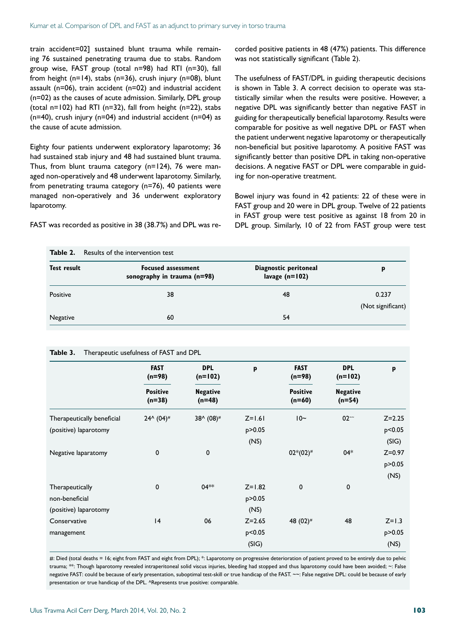train accident=02] sustained blunt trauma while remaining 76 sustained penetrating trauma due to stabs. Random group wise, FAST group (total n=98) had RTI (n=30), fall from height ( $n=14$ ), stabs ( $n=36$ ), crush injury ( $n=08$ ), blunt assault (n=06), train accident (n=02) and industrial accident (n=02) as the causes of acute admission. Similarly, DPL group (total  $n=102$ ) had RTI ( $n=32$ ), fall from height ( $n=22$ ), stabs  $(n=40)$ , crush injury  $(n=04)$  and industrial accident  $(n=04)$  as the cause of acute admission.

Eighty four patients underwent exploratory laparotomy; 36 had sustained stab injury and 48 had sustained blunt trauma. Thus, from blunt trauma category (n=124), 76 were managed non-operatively and 48 underwent laparotomy. Similarly, from penetrating trauma category (n=76), 40 patients were managed non-operatively and 36 underwent exploratory laparotomy.

FAST was recorded as positive in 38 (38.7%) and DPL was re-

**Table 2.** Results of the intervention test

corded positive patients in 48 (47%) patients. This difference was not statistically significant (Table 2).

The usefulness of FAST/DPL in guiding therapeutic decisions is shown in Table 3. A correct decision to operate was statistically similar when the results were positive. However, a negative DPL was significantly better than negative FAST in guiding for therapeutically beneficial laparotomy. Results were comparable for positive as well negative DPL or FAST when the patient underwent negative laparotomy or therapeutically non-beneficial but positive laparotomy. A positive FAST was significantly better than positive DPL in taking non-operative decisions. A negative FAST or DPL were comparable in guiding for non-operative treatment.

Bowel injury was found in 42 patients: 22 of these were in FAST group and 20 were in DPL group. Twelve of 22 patients in FAST group were test positive as against 18 from 20 in DPL group. Similarly, 10 of 22 from FAST group were test

| Test result | <b>Focused assessment</b><br>sonography in trauma $(n=98)$ | Diagnostic peritoneal<br>lavage $(n=102)$ | р                 |
|-------------|------------------------------------------------------------|-------------------------------------------|-------------------|
| Positive    | 38                                                         | 48                                        | 0.237             |
|             |                                                            |                                           | (Not significant) |
| Negative    | 60                                                         | 54                                        |                   |

#### **Table 3.** Therapeutic usefulness of FAST and DPL

|                            | <b>FAST</b><br>$(n=98)$<br><b>Positive</b><br>$(n=38)$ | <b>DPL</b><br>$(n=102)$<br><b>Negative</b><br>$(n=48)$ | p          | <b>FAST</b><br>$(n=98)$<br><b>Positive</b><br>$(n=60)$ | <b>DPL</b><br>$(n=102)$<br><b>Negative</b><br>$(n=54)$ | p          |
|----------------------------|--------------------------------------------------------|--------------------------------------------------------|------------|--------------------------------------------------------|--------------------------------------------------------|------------|
|                            |                                                        |                                                        |            |                                                        |                                                        |            |
| Therapeutically beneficial | $24^{\wedge} (04)^{\#}$                                | 38^ (08)#                                              | $Z=1.61$   | $10-$                                                  | $02 -$                                                 | $Z = 2.25$ |
| (positive) laparotomy      |                                                        |                                                        | p > 0.05   |                                                        |                                                        | p<0.05     |
|                            |                                                        |                                                        | (NS)       |                                                        |                                                        | (SIG)      |
| Negative laparatomy        | 0                                                      | 0                                                      |            | $02*(02)^{#}$                                          | $04*$                                                  | $Z = 0.97$ |
|                            |                                                        |                                                        |            |                                                        |                                                        | p > 0.05   |
|                            |                                                        |                                                        |            |                                                        |                                                        | (NS)       |
| Therapeutically            | 0                                                      | $04**$                                                 | $Z = 1.82$ | 0                                                      | $\mathbf 0$                                            |            |
| non-beneficial             |                                                        |                                                        | p>0.05     |                                                        |                                                        |            |
| (positive) laparotomy      |                                                        |                                                        | (NS)       |                                                        |                                                        |            |
| Conservative               | 4                                                      | 06                                                     | $Z = 2.65$ | 48 (02) <sup>#</sup>                                   | 48                                                     | $Z=1.3$    |
| management                 |                                                        |                                                        | p<0.05     |                                                        |                                                        | p > 0.05   |
|                            |                                                        |                                                        | (SIG)      |                                                        |                                                        | (NS)       |

#: Died (total deaths = 16; eight from FAST and eight from DPL); \*: Laparotomy on progressive deterioration of patient proved to be entirely due to pelvic trauma; \*\*: Though laparotomy revealed intraperitoneal solid viscus injuries, bleeding had stopped and thus laparotomy could have been avoided; ~: False negative FAST: could be because of early presentation, suboptimal test-skill or true handicap of the FAST. ~~: False negative DPL: could be because of early presentation or true handicap of the DPL. ^Represents true positive: comparable.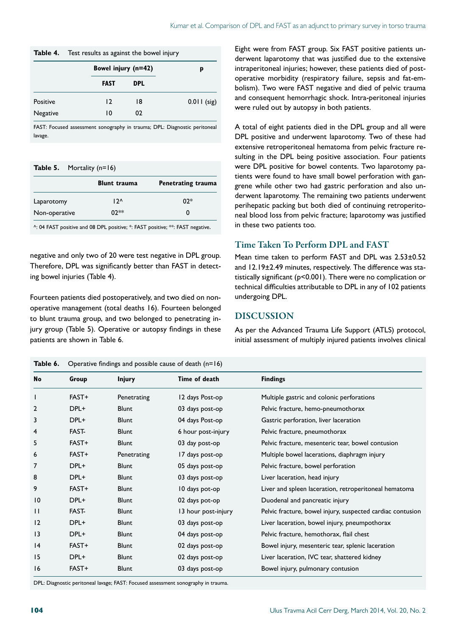#### **Table 4.** Test results as against the bowel injury

|          | Bowel injury (n=42) |            | p             |
|----------|---------------------|------------|---------------|
|          | <b>FAST</b>         | <b>DPL</b> |               |
| Positive | $\overline{12}$     | 18         | $0.011$ (sig) |
| Negative | 10                  | 02         |               |

FAST: Focused assessment sonography in trauma; DPL: Diagnostic peritoneal lavage.

| Table 5. | Mortality (n=16) |  |
|----------|------------------|--|
|----------|------------------|--|

|               | <b>Blunt trauma</b> | Penetrating trauma |
|---------------|---------------------|--------------------|
| Laparotomy    | $12^$               | $02*$              |
| Non-operative | $02**$              |                    |

^: 04 FAST positive and 08 DPL positive; \*: FAST positive; \*\*: FAST negative.

negative and only two of 20 were test negative in DPL group. Therefore, DPL was significantly better than FAST in detecting bowel injuries (Table 4).

Fourteen patients died postoperatively, and two died on nonoperative management (total deaths 16). Fourteen belonged to blunt trauma group, and two belonged to penetrating injury group (Table 5). Operative or autopsy findings in these patients are shown in Table 6.

**Table 6.** Operative findings and possible cause of death (n=16)

Eight were from FAST group. Six FAST positive patients underwent laparotomy that was justified due to the extensive intraperitoneal injuries; however, these patients died of postoperative morbidity (respiratory failure, sepsis and fat-embolism). Two were FAST negative and died of pelvic trauma and consequent hemorrhagic shock. Intra-peritoneal injuries were ruled out by autopsy in both patients.

A total of eight patients died in the DPL group and all were DPL positive and underwent laparotomy. Two of these had extensive retroperitoneal hematoma from pelvic fracture resulting in the DPL being positive association. Four patients were DPL positive for bowel contents. Two laparotomy patients were found to have small bowel perforation with gangrene while other two had gastric perforation and also underwent laparotomy. The remaining two patients underwent perihepatic packing but both died of continuing retroperitoneal blood loss from pelvic fracture; laparotomy was justified in these two patients too.

## Time Taken To Perform DPL and FAST

Mean time taken to perform FAST and DPL was 2.53±0.52 and 12.19±2.49 minutes, respectively. The difference was statistically significant (p<0.001). There were no complication or technical difficulties attributable to DPL in any of 102 patients undergoing DPL.

#### DISCUSSION

As per the Advanced Trauma Life Support (ATLS) protocol, initial assessment of multiply injured patients involves clinical

| <b>No</b>       | Group       | <b>Injury</b> | Time of death       | <b>Findings</b>                                            |
|-----------------|-------------|---------------|---------------------|------------------------------------------------------------|
| ı               | FAST+       | Penetrating   | 12 days Post-op     | Multiple gastric and colonic perforations                  |
| 2               | DPL+        | <b>Blunt</b>  | 03 days post-op     | Pelvic fracture, hemo-pneumothorax                         |
| 3               | DPL+        | <b>Blunt</b>  | 04 days Post-op     | Gastric perforation, liver laceration                      |
| 4               | <b>FAST</b> | <b>Blunt</b>  | 6 hour post-injury  | Pelvic fracture, pneumothorax                              |
| 5               | FAST+       | <b>Blunt</b>  | 03 day post-op      | Pelvic fracture, mesenteric tear, bowel contusion          |
| 6               | FAST+       | Penetrating   | 17 days post-op     | Multiple bowel lacerations, diaphragm injury               |
| 7               | DPL+        | <b>Blunt</b>  | 05 days post-op     | Pelvic fracture, bowel perforation                         |
| 8               | DPL+        | <b>Blunt</b>  | 03 days post-op     | Liver laceration, head injury                              |
| 9               | FAST+       | <b>Blunt</b>  | 10 days pot-op      | Liver and spleen laceration, retroperitoneal hematoma      |
| $\overline{10}$ | DPL+        | <b>Blunt</b>  | 02 days pot-op      | Duodenal and pancreatic injury                             |
| $\mathbf{H}$    | FAST-       | <b>Blunt</b>  | 13 hour post-injury | Pelvic fracture, bowel injury, suspected cardiac contusion |
| $\overline{2}$  | DPL+        | <b>Blunt</b>  | 03 days post-op     | Liver laceration, bowel injury, pneumpothorax              |
| $\overline{13}$ | DPL+        | <b>Blunt</b>  | 04 days post-op     | Pelvic fracture, hemothorax, flail chest                   |
| 4               | FAST+       | <b>Blunt</b>  | 02 days post-op     | Bowel injury, mesenteric tear, splenic laceration          |
| 15              | DPL+        | <b>Blunt</b>  | 02 days post-op     | Liver laceration, IVC tear, shattered kidney               |
| 16              | FAST+       | <b>Blunt</b>  | 03 days post-op     | Bowel injury, pulmonary contusion                          |

DPL: Diagnostic peritoneal lavage; FAST: Focused assessment sonography in trauma.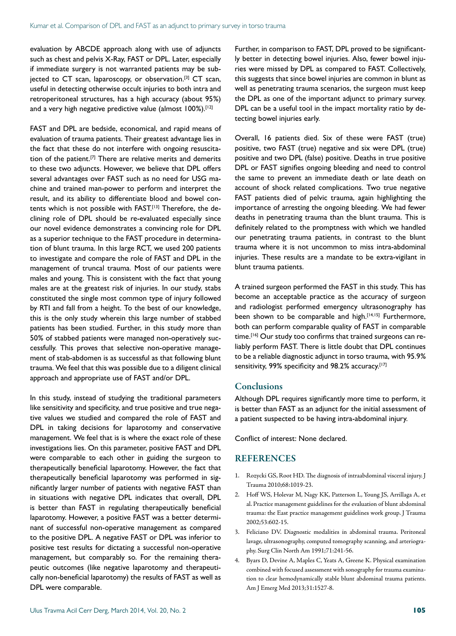evaluation by ABCDE approach along with use of adjuncts such as chest and pelvis X-Ray, FAST or DPL. Later, especially if immediate surgery is not warranted patients may be subjected to CT scan, laparoscopy, or observation.[3] CT scan, useful in detecting otherwise occult injuries to both intra and retroperitoneal structures, has a high accuracy (about 95%) and a very high negative predictive value (almost 100%).<sup>[12]</sup>

FAST and DPL are bedside, economical, and rapid means of evaluation of trauma patients. Their greatest advantage lies in the fact that these do not interfere with ongoing resuscitation of the patient.<sup>[7]</sup> There are relative merits and demerits to these two adjuncts. However, we believe that DPL offers several advantages over FAST such as no need for USG machine and trained man-power to perform and interpret the result, and its ability to differentiate blood and bowel contents which is not possible with FAST.<sup>[13]</sup> Therefore, the declining role of DPL should be re-evaluated especially since our novel evidence demonstrates a convincing role for DPL as a superior technique to the FAST procedure in determination of blunt trauma. In this large RCT, we used 200 patients to investigate and compare the role of FAST and DPL in the management of truncal trauma. Most of our patients were males and young. This is consistent with the fact that young males are at the greatest risk of injuries. In our study, stabs constituted the single most common type of injury followed by RTI and fall from a height. To the best of our knowledge, this is the only study wherein this large number of stabbed patients has been studied. Further, in this study more than 50% of stabbed patients were managed non-operatively successfully. This proves that selective non-operative management of stab-abdomen is as successful as that following blunt trauma. We feel that this was possible due to a diligent clinical approach and appropriate use of FAST and/or DPL.

In this study, instead of studying the traditional parameters like sensitivity and specificity, and true positive and true negative values we studied and compared the role of FAST and DPL in taking decisions for laparotomy and conservative management. We feel that is is where the exact role of these investigations lies. On this parameter, positive FAST and DPL were comparable to each other in guiding the surgeon to therapeutically beneficial laparotomy. However, the fact that therapeutically beneficial laparotomy was performed in significantly larger number of patients with negative FAST than in situations with negative DPL indicates that overall, DPL is better than FAST in regulating therapeutically beneficial laparotomy. However, a positive FAST was a better determinant of successful non-operative management as compared to the positive DPL. A negative FAST or DPL was inferior to positive test results for dictating a successful non-operative management, but comparably so. For the remaining therapeutic outcomes (like negative laparotomy and therapeutically non-beneficial laparotomy) the results of FAST as well as DPL were comparable.

Further, in comparison to FAST, DPL proved to be significantly better in detecting bowel injuries. Also, fewer bowel injuries were missed by DPL as compared to FAST. Collectively, this suggests that since bowel injuries are common in blunt as well as penetrating trauma scenarios, the surgeon must keep the DPL as one of the important adjunct to primary survey. DPL can be a useful tool in the impact mortality ratio by detecting bowel injuries early.

Overall, 16 patients died. Six of these were FAST (true) positive, two FAST (true) negative and six were DPL (true) positive and two DPL (false) positive. Deaths in true positive DPL or FAST signifies ongoing bleeding and need to control the same to prevent an immediate death or late death on account of shock related complications. Two true negative FAST patients died of pelvic trauma, again highlighting the importance of arresting the ongoing bleeding. We had fewer deaths in penetrating trauma than the blunt trauma. This is definitely related to the promptness with which we handled our penetrating trauma patients, in contrast to the blunt trauma where it is not uncommon to miss intra-abdominal injuries. These results are a mandate to be extra-vigilant in blunt trauma patients.

A trained surgeon performed the FAST in this study. This has become an acceptable practice as the accuracy of surgeon and radiologist performed emergency ultrasonography has been shown to be comparable and high.<sup>[14,15]</sup> Furthermore, both can perform comparable quality of FAST in comparable time.<sup>[16]</sup> Our study too confirms that trained surgeons can reliably perform FAST. There is little doubt that DPL continues to be a reliable diagnostic adjunct in torso trauma, with 95.9% sensitivity, 99% specificity and 98.2% accuracy.<sup>[17]</sup>

#### **Conclusions**

Although DPL requires significantly more time to perform, it is better than FAST as an adjunct for the initial assessment of a patient suspected to be having intra-abdominal injury.

Conflict of interest: None declared.

#### REFERENCES

- 1. Rozycki GS, Root HD. The diagnosis of intraabdominal visceral injury. J Trauma 2010;68:1019-23.
- 2. Hoff WS, Holevar M, Nagy KK, Patterson L, Young JS, Arrillaga A, et al. Practice management guidelines for the evaluation of blunt abdominal trauma: the East practice management guidelines work group. J Trauma 2002;53:602-15.
- 3. Feliciano DV. Diagnostic modalities in abdominal trauma. Peritoneal lavage, ultrasonography, computed tomography scanning, and arteriography. Surg Clin North Am 1991;71:241-56.
- 4. Byars D, Devine A, Maples C, Yeats A, Greene K. Physical examination combined with focused assessment with sonography for trauma examination to clear hemodynamically stable blunt abdominal trauma patients. Am J Emerg Med 2013;31:1527-8.